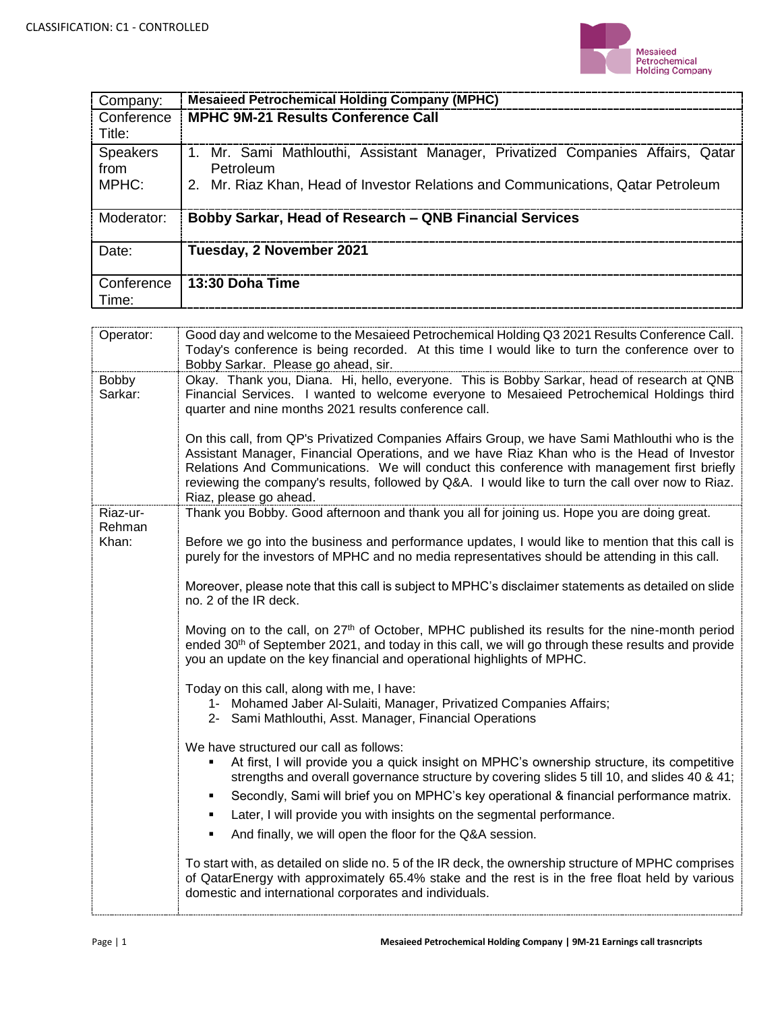

| Company:                         | <b>Mesaieed Petrochemical Holding Company (MPHC)</b>                                                                                                                            |
|----------------------------------|---------------------------------------------------------------------------------------------------------------------------------------------------------------------------------|
| Conference<br>Title:             | <b>MPHC 9M-21 Results Conference Call</b>                                                                                                                                       |
| <b>Speakers</b><br>from<br>MPHC: | 1. Mr. Sami Mathlouthi, Assistant Manager, Privatized Companies Affairs, Qatar<br>Petroleum<br>2. Mr. Riaz Khan, Head of Investor Relations and Communications, Qatar Petroleum |
| Moderator:                       | Bobby Sarkar, Head of Research - QNB Financial Services                                                                                                                         |
| Date:                            | Tuesday, 2 November 2021                                                                                                                                                        |
| Conference<br>Time:              | 13:30 Doha Time                                                                                                                                                                 |

| Operator:          | Good day and welcome to the Mesaieed Petrochemical Holding Q3 2021 Results Conference Call.<br>Today's conference is being recorded. At this time I would like to turn the conference over to                                                                                                                                                                                                                              |
|--------------------|----------------------------------------------------------------------------------------------------------------------------------------------------------------------------------------------------------------------------------------------------------------------------------------------------------------------------------------------------------------------------------------------------------------------------|
|                    | Bobby Sarkar. Please go ahead, sir.                                                                                                                                                                                                                                                                                                                                                                                        |
| Bobby<br>Sarkar:   | Okay. Thank you, Diana. Hi, hello, everyone. This is Bobby Sarkar, head of research at QNB<br>Financial Services. I wanted to welcome everyone to Mesaieed Petrochemical Holdings third<br>quarter and nine months 2021 results conference call.                                                                                                                                                                           |
|                    | On this call, from QP's Privatized Companies Affairs Group, we have Sami Mathlouthi who is the<br>Assistant Manager, Financial Operations, and we have Riaz Khan who is the Head of Investor<br>Relations And Communications. We will conduct this conference with management first briefly<br>reviewing the company's results, followed by Q&A. I would like to turn the call over now to Riaz.<br>Riaz, please go ahead. |
| Riaz-ur-<br>Rehman | Thank you Bobby. Good afternoon and thank you all for joining us. Hope you are doing great.                                                                                                                                                                                                                                                                                                                                |
| Khan:              | Before we go into the business and performance updates, I would like to mention that this call is<br>purely for the investors of MPHC and no media representatives should be attending in this call.                                                                                                                                                                                                                       |
|                    | Moreover, please note that this call is subject to MPHC's disclaimer statements as detailed on slide<br>no. 2 of the IR deck.                                                                                                                                                                                                                                                                                              |
|                    | Moving on to the call, on 27th of October, MPHC published its results for the nine-month period<br>ended 30 <sup>th</sup> of September 2021, and today in this call, we will go through these results and provide<br>you an update on the key financial and operational highlights of MPHC.                                                                                                                                |
|                    | Today on this call, along with me, I have:<br>1- Mohamed Jaber Al-Sulaiti, Manager, Privatized Companies Affairs;<br>2- Sami Mathlouthi, Asst. Manager, Financial Operations                                                                                                                                                                                                                                               |
|                    | We have structured our call as follows:<br>At first, I will provide you a quick insight on MPHC's ownership structure, its competitive<br>strengths and overall governance structure by covering slides 5 till 10, and slides 40 & 41;                                                                                                                                                                                     |
|                    | Secondly, Sami will brief you on MPHC's key operational & financial performance matrix.<br>Later, I will provide you with insights on the segmental performance.                                                                                                                                                                                                                                                           |
|                    | And finally, we will open the floor for the Q&A session.                                                                                                                                                                                                                                                                                                                                                                   |
|                    | To start with, as detailed on slide no. 5 of the IR deck, the ownership structure of MPHC comprises<br>of QatarEnergy with approximately 65.4% stake and the rest is in the free float held by various<br>domestic and international corporates and individuals.                                                                                                                                                           |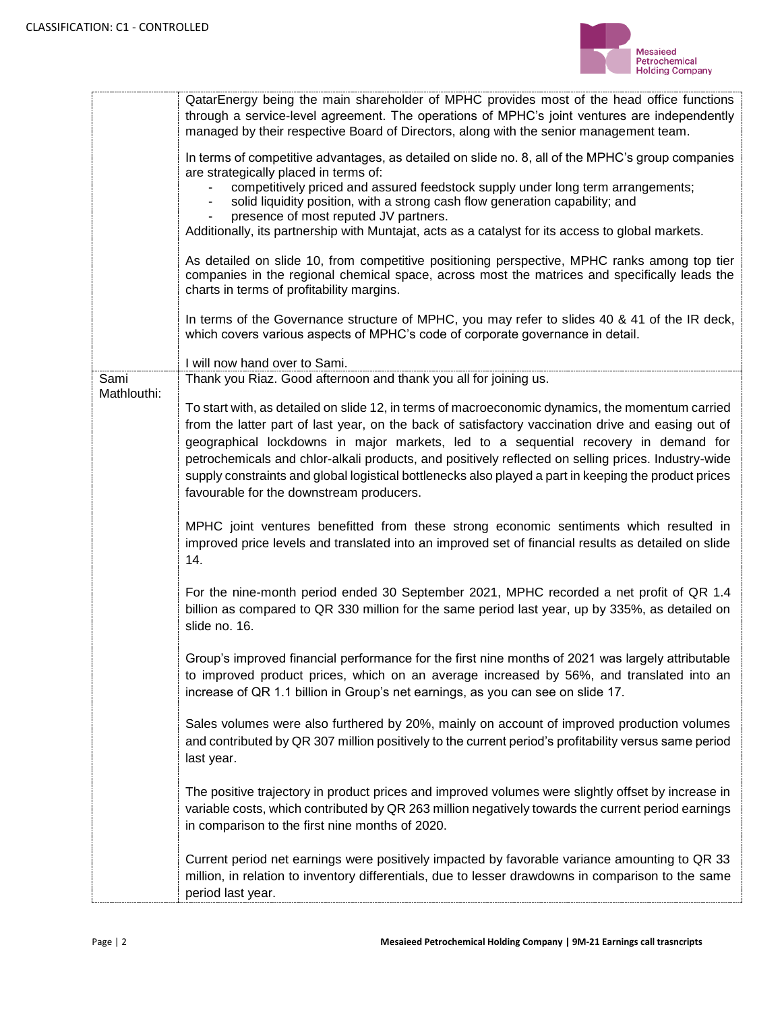

|             | QatarEnergy being the main shareholder of MPHC provides most of the head office functions<br>through a service-level agreement. The operations of MPHC's joint ventures are independently<br>managed by their respective Board of Directors, along with the senior management team.                                                                                                                                                                                                                                                                       |
|-------------|-----------------------------------------------------------------------------------------------------------------------------------------------------------------------------------------------------------------------------------------------------------------------------------------------------------------------------------------------------------------------------------------------------------------------------------------------------------------------------------------------------------------------------------------------------------|
|             | In terms of competitive advantages, as detailed on slide no. 8, all of the MPHC's group companies<br>are strategically placed in terms of:<br>competitively priced and assured feedstock supply under long term arrangements;<br>solid liquidity position, with a strong cash flow generation capability; and<br>presence of most reputed JV partners.<br>Additionally, its partnership with Muntajat, acts as a catalyst for its access to global markets.                                                                                               |
|             | As detailed on slide 10, from competitive positioning perspective, MPHC ranks among top tier<br>companies in the regional chemical space, across most the matrices and specifically leads the<br>charts in terms of profitability margins.                                                                                                                                                                                                                                                                                                                |
|             | In terms of the Governance structure of MPHC, you may refer to slides 40 & 41 of the IR deck,<br>which covers various aspects of MPHC's code of corporate governance in detail.                                                                                                                                                                                                                                                                                                                                                                           |
| Sami        | I will now hand over to Sami.<br>Thank you Riaz. Good afternoon and thank you all for joining us.                                                                                                                                                                                                                                                                                                                                                                                                                                                         |
| Mathlouthi: | To start with, as detailed on slide 12, in terms of macroeconomic dynamics, the momentum carried<br>from the latter part of last year, on the back of satisfactory vaccination drive and easing out of<br>geographical lockdowns in major markets, led to a sequential recovery in demand for<br>petrochemicals and chlor-alkali products, and positively reflected on selling prices. Industry-wide<br>supply constraints and global logistical bottlenecks also played a part in keeping the product prices<br>favourable for the downstream producers. |
|             | MPHC joint ventures benefitted from these strong economic sentiments which resulted in<br>improved price levels and translated into an improved set of financial results as detailed on slide<br>14.                                                                                                                                                                                                                                                                                                                                                      |
|             | For the nine-month period ended 30 September 2021, MPHC recorded a net profit of QR 1.4<br>billion as compared to QR 330 million for the same period last year, up by 335%, as detailed on<br>slide no. 16.                                                                                                                                                                                                                                                                                                                                               |
|             | Group's improved financial performance for the first nine months of 2021 was largely attributable<br>to improved product prices, which on an average increased by 56%, and translated into an<br>increase of QR 1.1 billion in Group's net earnings, as you can see on slide 17.                                                                                                                                                                                                                                                                          |
|             | Sales volumes were also furthered by 20%, mainly on account of improved production volumes<br>and contributed by QR 307 million positively to the current period's profitability versus same period<br>last year.                                                                                                                                                                                                                                                                                                                                         |
|             | The positive trajectory in product prices and improved volumes were slightly offset by increase in<br>variable costs, which contributed by QR 263 million negatively towards the current period earnings<br>in comparison to the first nine months of 2020.                                                                                                                                                                                                                                                                                               |
|             | Current period net earnings were positively impacted by favorable variance amounting to QR 33<br>million, in relation to inventory differentials, due to lesser drawdowns in comparison to the same<br>period last year.                                                                                                                                                                                                                                                                                                                                  |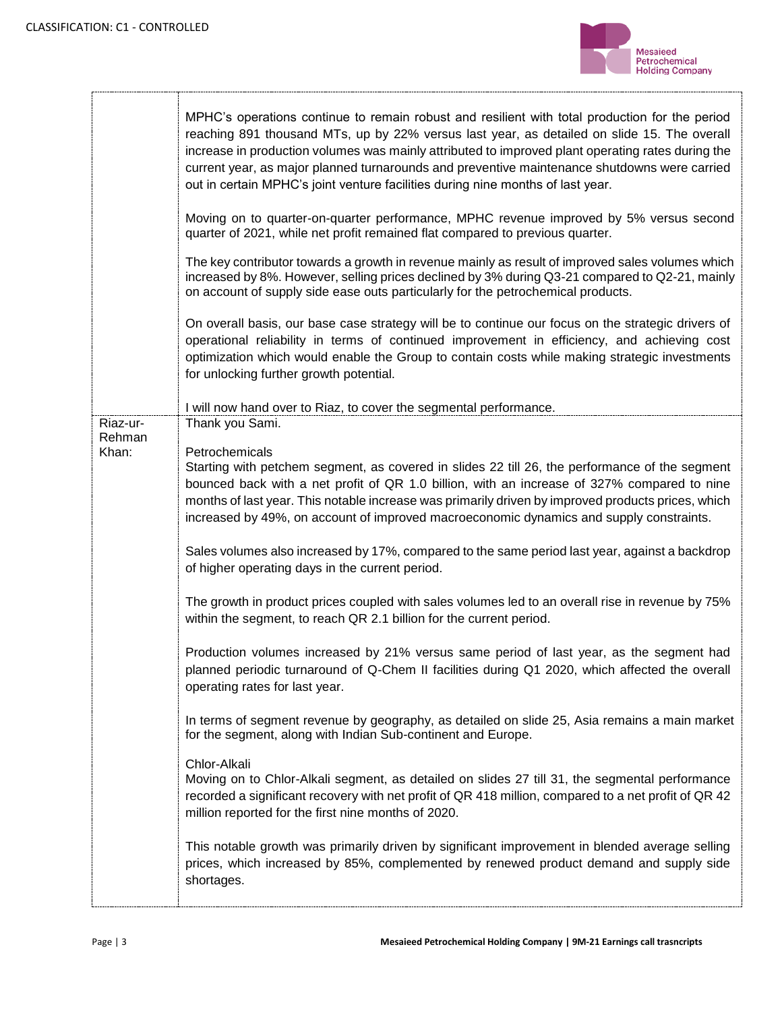T



..........

٦

|                             | MPHC's operations continue to remain robust and resilient with total production for the period<br>reaching 891 thousand MTs, up by 22% versus last year, as detailed on slide 15. The overall<br>increase in production volumes was mainly attributed to improved plant operating rates during the<br>current year, as major planned turnarounds and preventive maintenance shutdowns were carried<br>out in certain MPHC's joint venture facilities during nine months of last year. |
|-----------------------------|---------------------------------------------------------------------------------------------------------------------------------------------------------------------------------------------------------------------------------------------------------------------------------------------------------------------------------------------------------------------------------------------------------------------------------------------------------------------------------------|
|                             | Moving on to quarter-on-quarter performance, MPHC revenue improved by 5% versus second<br>quarter of 2021, while net profit remained flat compared to previous quarter.                                                                                                                                                                                                                                                                                                               |
|                             | The key contributor towards a growth in revenue mainly as result of improved sales volumes which<br>increased by 8%. However, selling prices declined by 3% during Q3-21 compared to Q2-21, mainly<br>on account of supply side ease outs particularly for the petrochemical products.                                                                                                                                                                                                |
|                             | On overall basis, our base case strategy will be to continue our focus on the strategic drivers of<br>operational reliability in terms of continued improvement in efficiency, and achieving cost<br>optimization which would enable the Group to contain costs while making strategic investments<br>for unlocking further growth potential.                                                                                                                                         |
|                             | I will now hand over to Riaz, to cover the segmental performance.                                                                                                                                                                                                                                                                                                                                                                                                                     |
| Riaz-ur-<br>Rehman<br>Khan: | Thank you Sami.<br>Petrochemicals<br>Starting with petchem segment, as covered in slides 22 till 26, the performance of the segment<br>bounced back with a net profit of QR 1.0 billion, with an increase of 327% compared to nine                                                                                                                                                                                                                                                    |
|                             | months of last year. This notable increase was primarily driven by improved products prices, which<br>increased by 49%, on account of improved macroeconomic dynamics and supply constraints.                                                                                                                                                                                                                                                                                         |
|                             | Sales volumes also increased by 17%, compared to the same period last year, against a backdrop<br>of higher operating days in the current period.                                                                                                                                                                                                                                                                                                                                     |
|                             | The growth in product prices coupled with sales volumes led to an overall rise in revenue by 75%<br>within the segment, to reach QR 2.1 billion for the current period.                                                                                                                                                                                                                                                                                                               |
|                             | Production volumes increased by 21% versus same period of last year, as the segment had<br>planned periodic turnaround of Q-Chem II facilities during Q1 2020, which affected the overall<br>operating rates for last year.                                                                                                                                                                                                                                                           |
|                             | In terms of segment revenue by geography, as detailed on slide 25, Asia remains a main market<br>for the segment, along with Indian Sub-continent and Europe.                                                                                                                                                                                                                                                                                                                         |
|                             | Chlor-Alkali<br>Moving on to Chlor-Alkali segment, as detailed on slides 27 till 31, the segmental performance<br>recorded a significant recovery with net profit of QR 418 million, compared to a net profit of QR 42<br>million reported for the first nine months of 2020.                                                                                                                                                                                                         |
|                             | This notable growth was primarily driven by significant improvement in blended average selling<br>prices, which increased by 85%, complemented by renewed product demand and supply side<br>shortages.                                                                                                                                                                                                                                                                                |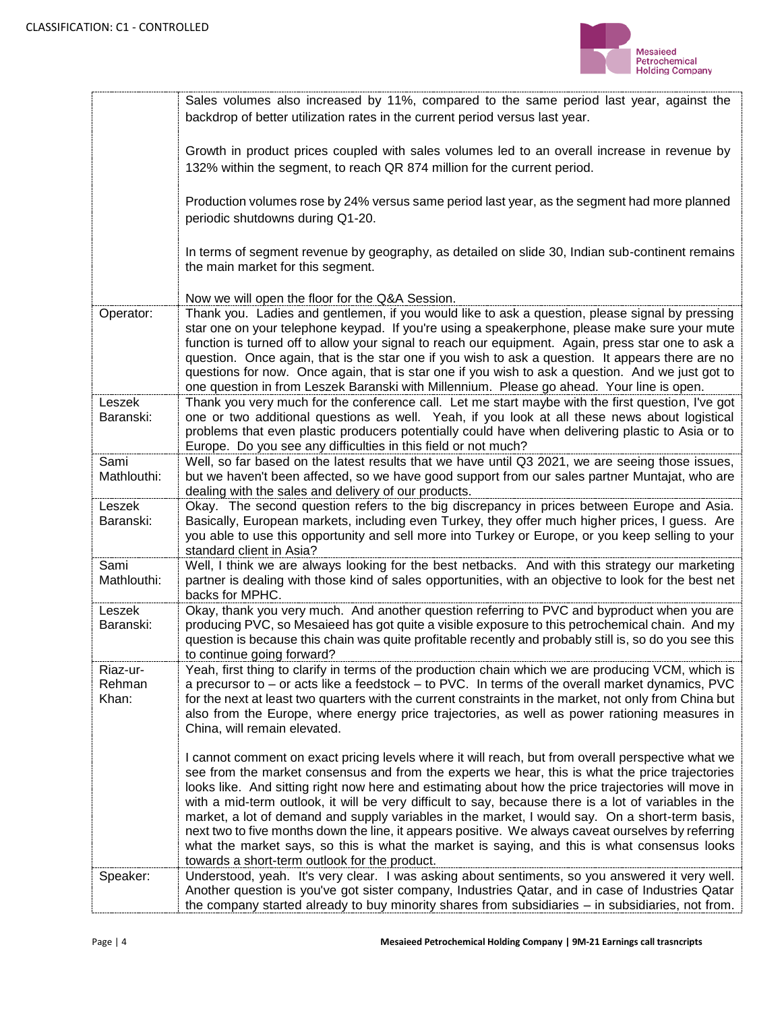

|             | Sales volumes also increased by 11%, compared to the same period last year, against the                                                                                                             |
|-------------|-----------------------------------------------------------------------------------------------------------------------------------------------------------------------------------------------------|
|             | backdrop of better utilization rates in the current period versus last year.                                                                                                                        |
|             |                                                                                                                                                                                                     |
|             | Growth in product prices coupled with sales volumes led to an overall increase in revenue by                                                                                                        |
|             | 132% within the segment, to reach QR 874 million for the current period.                                                                                                                            |
|             |                                                                                                                                                                                                     |
|             |                                                                                                                                                                                                     |
|             | Production volumes rose by 24% versus same period last year, as the segment had more planned                                                                                                        |
|             | periodic shutdowns during Q1-20.                                                                                                                                                                    |
|             |                                                                                                                                                                                                     |
|             | In terms of segment revenue by geography, as detailed on slide 30, Indian sub-continent remains                                                                                                     |
|             | the main market for this segment.                                                                                                                                                                   |
|             |                                                                                                                                                                                                     |
|             | Now we will open the floor for the Q&A Session.                                                                                                                                                     |
| Operator:   | Thank you. Ladies and gentlemen, if you would like to ask a question, please signal by pressing                                                                                                     |
|             | star one on your telephone keypad. If you're using a speakerphone, please make sure your mute                                                                                                       |
|             | function is turned off to allow your signal to reach our equipment. Again, press star one to ask a                                                                                                  |
|             | question. Once again, that is the star one if you wish to ask a question. It appears there are no                                                                                                   |
|             | questions for now. Once again, that is star one if you wish to ask a question. And we just got to<br>one question in from Leszek Baranski with Millennium. Please go ahead. Your line is open.      |
| Leszek      | Thank you very much for the conference call. Let me start maybe with the first question, I've got                                                                                                   |
| Baranski:   | one or two additional questions as well. Yeah, if you look at all these news about logistical                                                                                                       |
|             | problems that even plastic producers potentially could have when delivering plastic to Asia or to                                                                                                   |
|             | Europe. Do you see any difficulties in this field or not much?                                                                                                                                      |
| Sami        | Well, so far based on the latest results that we have until Q3 2021, we are seeing those issues,                                                                                                    |
| Mathlouthi: | but we haven't been affected, so we have good support from our sales partner Muntajat, who are                                                                                                      |
|             | dealing with the sales and delivery of our products.                                                                                                                                                |
| Leszek      | Okay. The second question refers to the big discrepancy in prices between Europe and Asia.                                                                                                          |
| Baranski:   | Basically, European markets, including even Turkey, they offer much higher prices, I guess. Are                                                                                                     |
|             | you able to use this opportunity and sell more into Turkey or Europe, or you keep selling to your                                                                                                   |
|             | standard client in Asia?                                                                                                                                                                            |
| Sami        | Well, I think we are always looking for the best netbacks. And with this strategy our marketing                                                                                                     |
| Mathlouthi: | partner is dealing with those kind of sales opportunities, with an objective to look for the best net                                                                                               |
|             | backs for MPHC.                                                                                                                                                                                     |
| Leszek      | Okay, thank you very much. And another question referring to PVC and byproduct when you are                                                                                                         |
| Baranski:   | producing PVC, so Mesaieed has got quite a visible exposure to this petrochemical chain. And my                                                                                                     |
|             | question is because this chain was quite profitable recently and probably still is, so do you see this<br>to continue going forward?                                                                |
| Riaz-ur-    | Yeah, first thing to clarify in terms of the production chain which we are producing VCM, which is                                                                                                  |
| Rehman      | a precursor to – or acts like a feedstock – to PVC. In terms of the overall market dynamics, PVC                                                                                                    |
| Khan:       | for the next at least two quarters with the current constraints in the market, not only from China but                                                                                              |
|             | also from the Europe, where energy price trajectories, as well as power rationing measures in                                                                                                       |
|             | China, will remain elevated.                                                                                                                                                                        |
|             |                                                                                                                                                                                                     |
|             | I cannot comment on exact pricing levels where it will reach, but from overall perspective what we                                                                                                  |
|             | see from the market consensus and from the experts we hear, this is what the price trajectories                                                                                                     |
|             | looks like. And sitting right now here and estimating about how the price trajectories will move in                                                                                                 |
|             | with a mid-term outlook, it will be very difficult to say, because there is a lot of variables in the                                                                                               |
|             | market, a lot of demand and supply variables in the market, I would say. On a short-term basis,                                                                                                     |
|             | next two to five months down the line, it appears positive. We always caveat ourselves by referring                                                                                                 |
|             | what the market says, so this is what the market is saying, and this is what consensus looks                                                                                                        |
|             | towards a short-term outlook for the product.                                                                                                                                                       |
| Speaker:    | Understood, yeah. It's very clear. I was asking about sentiments, so you answered it very well.<br>Another question is you've got sister company, Industries Qatar, and in case of Industries Qatar |
|             | the company started already to buy minority shares from subsidiaries - in subsidiaries, not from.                                                                                                   |
|             |                                                                                                                                                                                                     |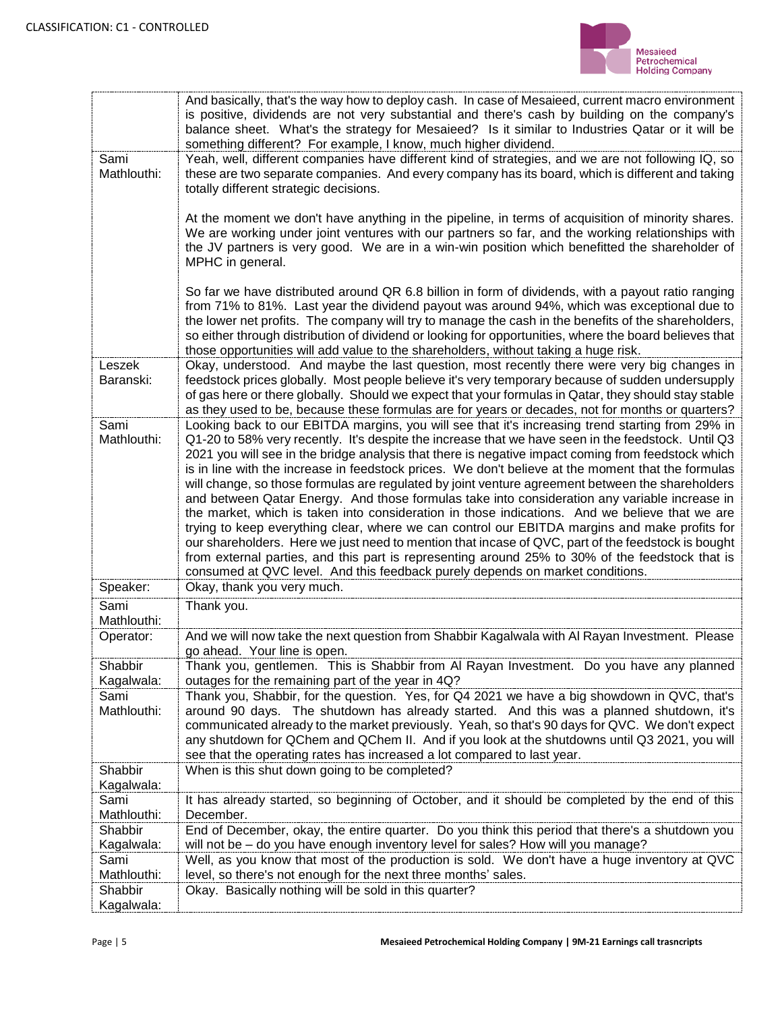

|                                   | And basically, that's the way how to deploy cash. In case of Mesaieed, current macro environment<br>is positive, dividends are not very substantial and there's cash by building on the company's<br>balance sheet. What's the strategy for Mesaieed? Is it similar to Industries Qatar or it will be<br>something different? For example, I know, much higher dividend.                                                                                                                                                                                                                                                                                                                                                                                                                                                                                                                                                                                                                                                                                                                                             |
|-----------------------------------|----------------------------------------------------------------------------------------------------------------------------------------------------------------------------------------------------------------------------------------------------------------------------------------------------------------------------------------------------------------------------------------------------------------------------------------------------------------------------------------------------------------------------------------------------------------------------------------------------------------------------------------------------------------------------------------------------------------------------------------------------------------------------------------------------------------------------------------------------------------------------------------------------------------------------------------------------------------------------------------------------------------------------------------------------------------------------------------------------------------------|
| Sami<br>Mathlouthi:               | Yeah, well, different companies have different kind of strategies, and we are not following IQ, so<br>these are two separate companies. And every company has its board, which is different and taking<br>totally different strategic decisions.                                                                                                                                                                                                                                                                                                                                                                                                                                                                                                                                                                                                                                                                                                                                                                                                                                                                     |
|                                   | At the moment we don't have anything in the pipeline, in terms of acquisition of minority shares.<br>We are working under joint ventures with our partners so far, and the working relationships with<br>the JV partners is very good. We are in a win-win position which benefitted the shareholder of<br>MPHC in general.                                                                                                                                                                                                                                                                                                                                                                                                                                                                                                                                                                                                                                                                                                                                                                                          |
|                                   | So far we have distributed around QR 6.8 billion in form of dividends, with a payout ratio ranging<br>from 71% to 81%. Last year the dividend payout was around 94%, which was exceptional due to<br>the lower net profits. The company will try to manage the cash in the benefits of the shareholders,<br>so either through distribution of dividend or looking for opportunities, where the board believes that<br>those opportunities will add value to the shareholders, without taking a huge risk.                                                                                                                                                                                                                                                                                                                                                                                                                                                                                                                                                                                                            |
| Leszek<br>Baranski:               | Okay, understood. And maybe the last question, most recently there were very big changes in<br>feedstock prices globally. Most people believe it's very temporary because of sudden undersupply<br>of gas here or there globally. Should we expect that your formulas in Qatar, they should stay stable<br>as they used to be, because these formulas are for years or decades, not for months or quarters?                                                                                                                                                                                                                                                                                                                                                                                                                                                                                                                                                                                                                                                                                                          |
| Sami<br>Mathlouthi:               | Looking back to our EBITDA margins, you will see that it's increasing trend starting from 29% in<br>Q1-20 to 58% very recently. It's despite the increase that we have seen in the feedstock. Until Q3<br>2021 you will see in the bridge analysis that there is negative impact coming from feedstock which<br>is in line with the increase in feedstock prices. We don't believe at the moment that the formulas<br>will change, so those formulas are regulated by joint venture agreement between the shareholders<br>and between Qatar Energy. And those formulas take into consideration any variable increase in<br>the market, which is taken into consideration in those indications. And we believe that we are<br>trying to keep everything clear, where we can control our EBITDA margins and make profits for<br>our shareholders. Here we just need to mention that incase of QVC, part of the feedstock is bought<br>from external parties, and this part is representing around 25% to 30% of the feedstock that is<br>consumed at QVC level. And this feedback purely depends on market conditions. |
| Speaker:                          | Okay, thank you very much.                                                                                                                                                                                                                                                                                                                                                                                                                                                                                                                                                                                                                                                                                                                                                                                                                                                                                                                                                                                                                                                                                           |
| Sami<br>Mathlouthi:               | Thank you.                                                                                                                                                                                                                                                                                                                                                                                                                                                                                                                                                                                                                                                                                                                                                                                                                                                                                                                                                                                                                                                                                                           |
| Operator:                         | And we will now take the next question from Shabbir Kagalwala with Al Rayan Investment. Please<br>go ahead. Your line is open.                                                                                                                                                                                                                                                                                                                                                                                                                                                                                                                                                                                                                                                                                                                                                                                                                                                                                                                                                                                       |
| Shabbir                           | Thank you, gentlemen. This is Shabbir from Al Rayan Investment. Do you have any planned                                                                                                                                                                                                                                                                                                                                                                                                                                                                                                                                                                                                                                                                                                                                                                                                                                                                                                                                                                                                                              |
| Kagalwala:<br>Sami<br>Mathlouthi: | outages for the remaining part of the year in 4Q?<br>Thank you, Shabbir, for the question. Yes, for Q4 2021 we have a big showdown in QVC, that's<br>around 90 days. The shutdown has already started. And this was a planned shutdown, it's<br>communicated already to the market previously. Yeah, so that's 90 days for QVC. We don't expect<br>any shutdown for QChem and QChem II. And if you look at the shutdowns until Q3 2021, you will<br>see that the operating rates has increased a lot compared to last year.                                                                                                                                                                                                                                                                                                                                                                                                                                                                                                                                                                                          |
| Shabbir<br>Kagalwala:             | When is this shut down going to be completed?                                                                                                                                                                                                                                                                                                                                                                                                                                                                                                                                                                                                                                                                                                                                                                                                                                                                                                                                                                                                                                                                        |
| Sami<br>Mathlouthi:               | It has already started, so beginning of October, and it should be completed by the end of this<br>December.                                                                                                                                                                                                                                                                                                                                                                                                                                                                                                                                                                                                                                                                                                                                                                                                                                                                                                                                                                                                          |
| Shabbir                           | End of December, okay, the entire quarter. Do you think this period that there's a shutdown you                                                                                                                                                                                                                                                                                                                                                                                                                                                                                                                                                                                                                                                                                                                                                                                                                                                                                                                                                                                                                      |
| Kagalwala:                        | will not be - do you have enough inventory level for sales? How will you manage?                                                                                                                                                                                                                                                                                                                                                                                                                                                                                                                                                                                                                                                                                                                                                                                                                                                                                                                                                                                                                                     |
| Sami<br>Mathlouthi:               | Well, as you know that most of the production is sold. We don't have a huge inventory at QVC<br>level, so there's not enough for the next three months' sales.                                                                                                                                                                                                                                                                                                                                                                                                                                                                                                                                                                                                                                                                                                                                                                                                                                                                                                                                                       |
| Shabbir                           | Okay. Basically nothing will be sold in this quarter?                                                                                                                                                                                                                                                                                                                                                                                                                                                                                                                                                                                                                                                                                                                                                                                                                                                                                                                                                                                                                                                                |
| Kagalwala:                        |                                                                                                                                                                                                                                                                                                                                                                                                                                                                                                                                                                                                                                                                                                                                                                                                                                                                                                                                                                                                                                                                                                                      |